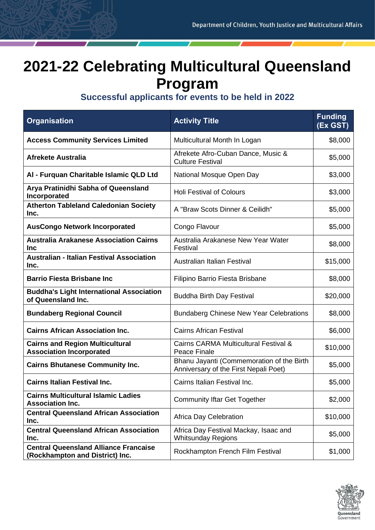## **2021-22 Celebrating Multicultural Queensland Program**

## **Successful applicants for events to be held in 2022**

| <b>Organisation</b>                                                             | <b>Activity Title</b>                                                              | <b>Funding</b><br>(Ex GST) |
|---------------------------------------------------------------------------------|------------------------------------------------------------------------------------|----------------------------|
| <b>Access Community Services Limited</b>                                        | Multicultural Month In Logan                                                       | \$8,000                    |
| <b>Afrekete Australia</b>                                                       | Afrekete Afro-Cuban Dance, Music &<br><b>Culture Festival</b>                      | \$5,000                    |
| Al - Furquan Charitable Islamic QLD Ltd                                         | National Mosque Open Day                                                           | \$3,000                    |
| Arya Pratinidhi Sabha of Queensland<br>Incorporated                             | <b>Holi Festival of Colours</b>                                                    | \$3,000                    |
| <b>Atherton Tableland Caledonian Society</b><br>Inc.                            | A "Braw Scots Dinner & Ceilidh"                                                    | \$5,000                    |
| <b>AusCongo Network Incorporated</b>                                            | Congo Flavour                                                                      | \$5,000                    |
| <b>Australia Arakanese Association Cairns</b><br><b>Inc</b>                     | Australia Arakanese New Year Water<br>Festival                                     | \$8,000                    |
| <b>Australian - Italian Festival Association</b><br>Inc.                        | Australian Italian Festival                                                        | \$15,000                   |
| <b>Barrio Fiesta Brisbane Inc</b>                                               | Filipino Barrio Fiesta Brisbane                                                    | \$8,000                    |
| <b>Buddha's Light International Association</b><br>of Queensland Inc.           | <b>Buddha Birth Day Festival</b>                                                   | \$20,000                   |
| <b>Bundaberg Regional Council</b>                                               | <b>Bundaberg Chinese New Year Celebrations</b>                                     | \$8,000                    |
| <b>Cairns African Association Inc.</b>                                          | <b>Cairns African Festival</b>                                                     | \$6,000                    |
| <b>Cairns and Region Multicultural</b><br><b>Association Incorporated</b>       | Cairns CARMA Multicultural Festival &<br><b>Peace Finale</b>                       | \$10,000                   |
| <b>Cairns Bhutanese Community Inc.</b>                                          | Bhanu Jayanti (Commemoration of the Birth<br>Anniversary of the First Nepali Poet) | \$5,000                    |
| <b>Cairns Italian Festival Inc.</b>                                             | Cairns Italian Festival Inc.                                                       | \$5,000                    |
| <b>Cairns Multicultural Islamic Ladies</b><br><b>Association Inc.</b>           | <b>Community Iftar Get Together</b>                                                | \$2,000                    |
| <b>Central Queensland African Association</b><br>Inc.                           | Africa Day Celebration                                                             | \$10,000                   |
| <b>Central Queensland African Association</b><br>Inc.                           | Africa Day Festival Mackay, Isaac and<br><b>Whitsunday Regions</b>                 | \$5,000                    |
| <b>Central Queensland Alliance Francaise</b><br>(Rockhampton and District) Inc. | Rockhampton French Film Festival                                                   | \$1,000                    |

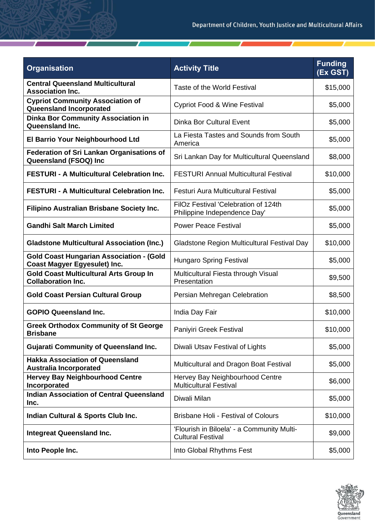| <b>Organisation</b>                                                                    | <b>Activity Title</b>                                                  | <b>Funding</b><br>(Ex GST) |
|----------------------------------------------------------------------------------------|------------------------------------------------------------------------|----------------------------|
| <b>Central Queensland Multicultural</b><br><b>Association Inc.</b>                     | Taste of the World Festival                                            | \$15,000                   |
| <b>Cypriot Community Association of</b><br>Queensland Incorporated                     | <b>Cypriot Food &amp; Wine Festival</b>                                | \$5,000                    |
| <b>Dinka Bor Community Association in</b><br><b>Queensland Inc.</b>                    | <b>Dinka Bor Cultural Event</b>                                        | \$5,000                    |
| <b>El Barrio Your Neighbourhood Ltd</b>                                                | La Fiesta Tastes and Sounds from South<br>America                      | \$5,000                    |
| <b>Federation of Sri Lankan Organisations of</b><br>Queensland (FSOQ) Inc              | Sri Lankan Day for Multicultural Queensland                            | \$8,000                    |
| <b>FESTURI - A Multicultural Celebration Inc.</b>                                      | <b>FESTURI Annual Multicultural Festival</b>                           | \$10,000                   |
| <b>FESTURI - A Multicultural Celebration Inc.</b>                                      | Festuri Aura Multicultural Festival                                    | \$5,000                    |
| Filipino Australian Brisbane Society Inc.                                              | FilOz Festival 'Celebration of 124th<br>Philippine Independence Day'   | \$5,000                    |
| <b>Gandhi Salt March Limited</b>                                                       | <b>Power Peace Festival</b>                                            | \$5,000                    |
| <b>Gladstone Multicultural Association (Inc.)</b>                                      | Gladstone Region Multicultural Festival Day                            | \$10,000                   |
| <b>Gold Coast Hungarian Association - (Gold</b><br><b>Coast Magyer Egyesulet) Inc.</b> | <b>Hungaro Spring Festival</b>                                         | \$5,000                    |
| <b>Gold Coast Multicultural Arts Group In</b><br><b>Collaboration Inc.</b>             | Multicultural Fiesta through Visual<br>Presentation                    | \$9,500                    |
| <b>Gold Coast Persian Cultural Group</b>                                               | Persian Mehregan Celebration                                           | \$8,500                    |
| <b>GOPIO Queensland Inc.</b>                                                           | India Day Fair                                                         | \$10,000                   |
| <b>Greek Orthodox Community of St George</b><br><b>Brisbane</b>                        | Paniyiri Greek Festival                                                | \$10,000                   |
| <b>Gujarati Community of Queensland Inc.</b>                                           | Diwali Utsav Festival of Lights                                        | \$5,000                    |
| <b>Hakka Association of Queensland</b><br><b>Australia Incorporated</b>                | Multicultural and Dragon Boat Festival                                 | \$5,000                    |
| <b>Hervey Bay Neighbourhood Centre</b><br>Incorporated                                 | Hervey Bay Neighbourhood Centre<br><b>Multicultural Festival</b>       | \$6,000                    |
| <b>Indian Association of Central Queensland</b><br>Inc.                                | Diwali Milan                                                           | \$5,000                    |
| Indian Cultural & Sports Club Inc.                                                     | <b>Brisbane Holi - Festival of Colours</b>                             | \$10,000                   |
| <b>Integreat Queensland Inc.</b>                                                       | 'Flourish in Biloela' - a Community Multi-<br><b>Cultural Festival</b> | \$9,000                    |
| Into People Inc.                                                                       | Into Global Rhythms Fest                                               | \$5,000                    |

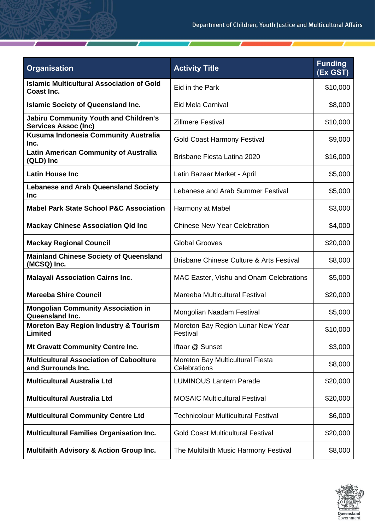| <b>Organisation</b>                                                         | <b>Activity Title</b>                               | <b>Funding</b><br>(Ex GST) |
|-----------------------------------------------------------------------------|-----------------------------------------------------|----------------------------|
| <b>Islamic Multicultural Association of Gold</b><br><b>Coast Inc.</b>       | Eid in the Park                                     | \$10,000                   |
| <b>Islamic Society of Queensland Inc.</b>                                   | Eid Mela Carnival                                   | \$8,000                    |
| <b>Jabiru Community Youth and Children's</b><br><b>Services Assoc (Inc)</b> | <b>Zillmere Festival</b>                            | \$10,000                   |
| Kusuma Indonesia Community Australia<br>Inc.                                | <b>Gold Coast Harmony Festival</b>                  | \$9,000                    |
| <b>Latin American Community of Australia</b><br>(QLD) Inc                   | <b>Brisbane Fiesta Latina 2020</b>                  | \$16,000                   |
| <b>Latin House Inc</b>                                                      | Latin Bazaar Market - April                         | \$5,000                    |
| <b>Lebanese and Arab Queensland Society</b><br><b>Inc</b>                   | Lebanese and Arab Summer Festival                   | \$5,000                    |
| <b>Mabel Park State School P&amp;C Association</b>                          | Harmony at Mabel                                    | \$3,000                    |
| <b>Mackay Chinese Association Qld Inc</b>                                   | <b>Chinese New Year Celebration</b>                 | \$4,000                    |
| <b>Mackay Regional Council</b>                                              | <b>Global Grooves</b>                               | \$20,000                   |
| <b>Mainland Chinese Society of Queensland</b><br>(MCSQ) Inc.                | <b>Brisbane Chinese Culture &amp; Arts Festival</b> | \$8,000                    |
| <b>Malayali Association Cairns Inc.</b>                                     | MAC Easter, Vishu and Onam Celebrations             | \$5,000                    |
| <b>Mareeba Shire Council</b>                                                | Mareeba Multicultural Festival                      | \$20,000                   |
| <b>Mongolian Community Association in</b><br>Queensland Inc.                | Mongolian Naadam Festival                           | \$5,000                    |
| <b>Moreton Bay Region Industry &amp; Tourism</b><br>Limited                 | Moreton Bay Region Lunar New Year<br>Festival       | \$10,000                   |
| Mt Gravatt Community Centre Inc.                                            | Iftaar @ Sunset                                     | \$3,000                    |
| <b>Multicultural Association of Caboolture</b><br>and Surrounds Inc.        | Moreton Bay Multicultural Fiesta<br>Celebrations    | \$8,000                    |
| <b>Multicultural Australia Ltd</b>                                          | <b>LUMINOUS Lantern Parade</b>                      | \$20,000                   |
| <b>Multicultural Australia Ltd</b>                                          | <b>MOSAIC Multicultural Festival</b>                | \$20,000                   |
| <b>Multicultural Community Centre Ltd</b>                                   | <b>Technicolour Multicultural Festival</b>          | \$6,000                    |
| <b>Multicultural Families Organisation Inc.</b>                             | <b>Gold Coast Multicultural Festival</b>            | \$20,000                   |
| <b>Multifaith Advisory &amp; Action Group Inc.</b>                          | The Multifaith Music Harmony Festival               | \$8,000                    |

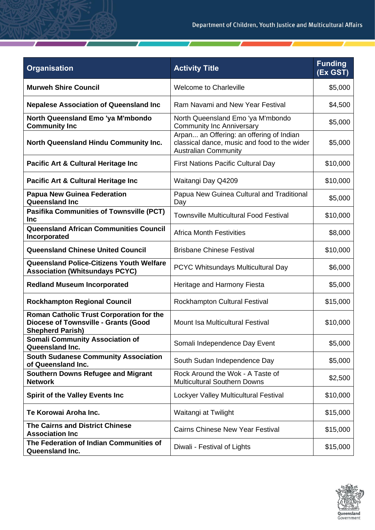| <b>Organisation</b>                                                                                         | <b>Activity Title</b>                                                                                                   | <b>Funding</b><br>(Ex GST) |
|-------------------------------------------------------------------------------------------------------------|-------------------------------------------------------------------------------------------------------------------------|----------------------------|
| <b>Murweh Shire Council</b>                                                                                 | <b>Welcome to Charleville</b>                                                                                           | \$5,000                    |
| <b>Nepalese Association of Queensland Inc</b>                                                               | Ram Navami and New Year Festival                                                                                        | \$4,500                    |
| North Queensland Emo 'ya M'mbondo<br><b>Community Inc</b>                                                   | North Queensland Emo 'ya M'mbondo<br><b>Community Inc Anniversary</b>                                                   | \$5,000                    |
| North Queensland Hindu Community Inc.                                                                       | Arpan an Offering: an offering of Indian<br>classical dance, music and food to the wider<br><b>Australian Community</b> | \$5,000                    |
| Pacific Art & Cultural Heritage Inc                                                                         | <b>First Nations Pacific Cultural Day</b>                                                                               | \$10,000                   |
| Pacific Art & Cultural Heritage Inc                                                                         | Waitangi Day Q4209                                                                                                      | \$10,000                   |
| <b>Papua New Guinea Federation</b><br>Queensland Inc                                                        | Papua New Guinea Cultural and Traditional<br>Day                                                                        | \$5,000                    |
| <b>Pasifika Communities of Townsville (PCT)</b><br><b>Inc</b>                                               | <b>Townsville Multicultural Food Festival</b>                                                                           | \$10,000                   |
| <b>Queensland African Communities Council</b><br>Incorporated                                               | <b>Africa Month Festivities</b>                                                                                         | \$8,000                    |
| <b>Queensland Chinese United Council</b>                                                                    | <b>Brisbane Chinese Festival</b>                                                                                        | \$10,000                   |
| <b>Queensland Police-Citizens Youth Welfare</b><br><b>Association (Whitsundays PCYC)</b>                    | PCYC Whitsundays Multicultural Day                                                                                      | \$6,000                    |
| <b>Redland Museum Incorporated</b>                                                                          | Heritage and Harmony Fiesta                                                                                             | \$5,000                    |
| <b>Rockhampton Regional Council</b>                                                                         | Rockhampton Cultural Festival                                                                                           | \$15,000                   |
| Roman Catholic Trust Corporation for the<br>Diocese of Townsville - Grants (Good<br><b>Shepherd Parish)</b> | Mount Isa Multicultural Festival                                                                                        | \$10,000                   |
| <b>Somali Community Association of</b><br><b>Queensland Inc.</b>                                            | Somali Independence Day Event                                                                                           | \$5,000                    |
| <b>South Sudanese Community Association</b><br>of Queensland Inc.                                           | South Sudan Independence Day                                                                                            | \$5,000                    |
| <b>Southern Downs Refugee and Migrant</b><br><b>Network</b>                                                 | Rock Around the Wok - A Taste of<br><b>Multicultural Southern Downs</b>                                                 | \$2,500                    |
| <b>Spirit of the Valley Events Inc</b>                                                                      | Lockyer Valley Multicultural Festival                                                                                   | \$10,000                   |
| Te Korowai Aroha Inc.                                                                                       | Waitangi at Twilight                                                                                                    | \$15,000                   |
| <b>The Cairns and District Chinese</b><br><b>Association Inc</b>                                            | <b>Cairns Chinese New Year Festival</b>                                                                                 | \$15,000                   |
| The Federation of Indian Communities of<br>Queensland Inc.                                                  | Diwali - Festival of Lights                                                                                             | \$15,000                   |